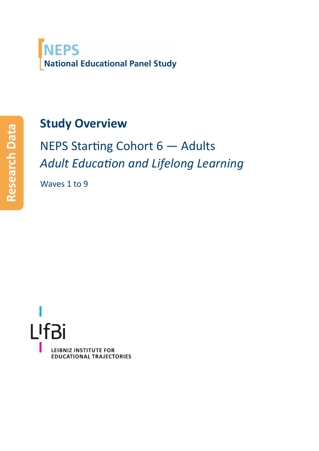<span id="page-0-0"></span>

#### **Study Overview**

NEPS Starting Cohort 6 - Adults *Adult EducaƟon and Lifelong Learning*

Waves 1 to 9



**Research Data**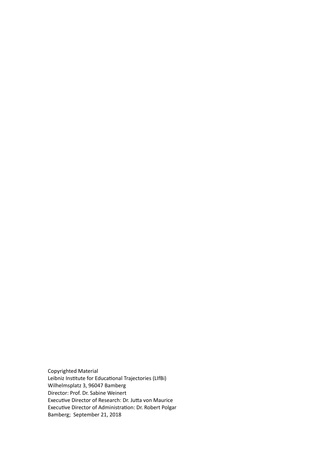Copyrighted Material Leibniz Institute for Educational Trajectories (LIfBi) Wilhelmsplatz 3, 96047 Bamberg Director: Prof. Dr. Sabine Weinert Executive Director of Research: Dr. Jutta von Maurice Executive Director of Administration: Dr. Robert Polgar Bamberg; September 21, 2018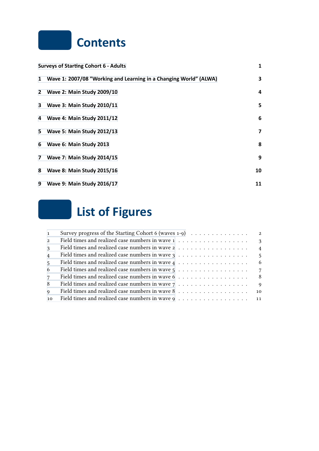#### **Contents**

|              | <b>Surveys of Starting Cohort 6 - Adults</b>                      | 1  |
|--------------|-------------------------------------------------------------------|----|
| 1            | Wave 1: 2007/08 "Working and Learning in a Changing World" (ALWA) | 3  |
| $\mathbf{2}$ | <b>Wave 2: Main Study 2009/10</b>                                 | 4  |
| 3            | <b>Wave 3: Main Study 2010/11</b>                                 | 5  |
| 4            | <b>Wave 4: Main Study 2011/12</b>                                 | 6  |
| 5.           | <b>Wave 5: Main Study 2012/13</b>                                 | 7  |
| 6            | Wave 6: Main Study 2013                                           | 8  |
| 7            | <b>Wave 7: Main Study 2014/15</b>                                 | 9  |
| 8            | <b>Wave 8: Main Study 2015/16</b>                                 | 10 |
| 9            | <b>Wave 9: Main Study 2016/17</b>                                 | 11 |

# **[List of F](#page-13-0)igures**

| $\mathbf{1}$    |                                                                                                                                | $\overline{\mathbf{2}}$ |
|-----------------|--------------------------------------------------------------------------------------------------------------------------------|-------------------------|
| $\overline{2}$  | Field times and realized case numbers in wave $1, \ldots, \ldots, \ldots, \ldots, \ldots$                                      | $\mathbf{3}$            |
| $\mathcal{E}$   |                                                                                                                                | $\overline{4}$          |
| $\overline{4}$  | Field times and realized case numbers in wave $3$<br>$\dots$<br>$\dots$<br>$\dots$<br>$\dots$<br>$\dots$<br>$\dots$<br>$\dots$ | $-5$                    |
| $5\overline{)}$ | Field times and realized case numbers in wave $4 \ldots \ldots \ldots \ldots \ldots$                                           | - 6                     |
| -6              |                                                                                                                                | $7\overline{7}$         |
| $7\phantom{.0}$ | Field times and realized case numbers in wave $6 \ldots \ldots \ldots \ldots \ldots$                                           | - 8                     |
| -8              | Field times and realized case numbers in wave $7 \ldots \ldots \ldots \ldots \ldots$                                           | $\mathbf{Q}$            |
| $\mathbf{Q}$    |                                                                                                                                | 10                      |
| 10              | Field times and realized case numbers in wave $9 \ldots \ldots \ldots \ldots \ldots \ldots \ldots$                             |                         |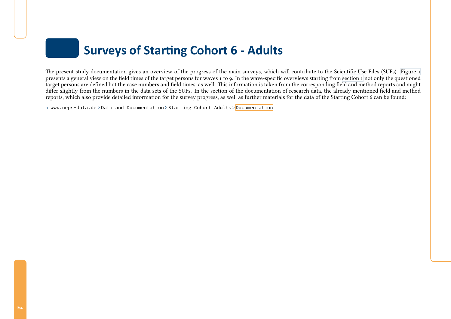#### **Surveys of StarƟng Cohort <sup>6</sup> - Adults**

The presen<sup>t</sup> study documentation <sup>g</sup>ives an overview of the progress of the main surveys, which will contribute to the Scientific Use Files (SUFs). [Figure](#page-4-1) <sup>1</sup> presents a general view on the field times of the target persons for waves 1 to 9. In the wave-specific overviews starting from [section](#page-5-2) 1 not only the questioned<br>target persons are defined but the case numbers and field ti target persons are defined but the case numbers and field times, as well. This information is taken from the corresponding field and method reports and might differ slightly from the numbers in the data sets of the SUFs. In the section of the documentation of research data, the already mentioned field and methodreports, which also provide detailed information for the survey progress, as well as further materials for the data of the Starting Cohort <sup>6</sup> can be found:

→ www.neps-data.de <sup>&</sup>gt; Data and Documentation <sup>&</sup>gt; Starting Cohort Adults <sup>&</sup>gt; [Documentation](https://www.neps-data.de/en-us/datacenter/dataanddocumentation/startingcohortadults/documentation.aspx)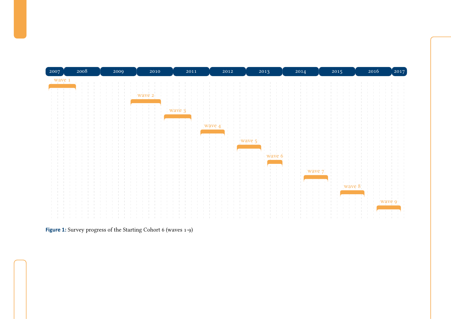<span id="page-4-1"></span>

<span id="page-4-0"></span>**Figure 1:** Survey progress of the Starting Cohort <sup>6</sup> (waves 1-9)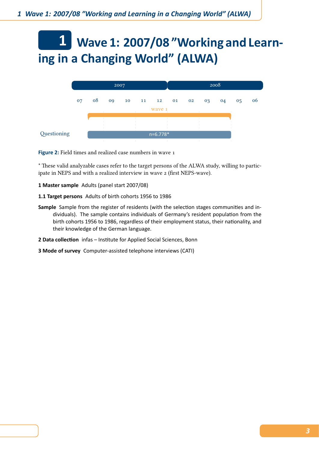# <span id="page-5-0"></span>**1 Wave 1: 2007/08 "Working and Learning in a Changing World" (ALWA)**

<span id="page-5-2"></span>

<span id="page-5-1"></span>**Figure 2:** Field times and realized case numbers in wave 1

\* These valid analyzable cases refer to the target persons of the ALWA study, willing to participate in NEPS and with a realized interview in wave 2 (first NEPS-wave).

**1 Master sample** Adults (panel start 2007/08)

- **1.1 Target persons** Adults of birth cohorts 1956 to 1986
- **Sample** Sample from the register of residents (with the selection stages communities and individuals). The sample contains individuals of Germany's resident population from the birth cohorts 1956 to 1986, regardless of their employment status, their nationality, and their knowledge of the German language.
- 2 Data collection infas Institute for Applied Social Sciences, Bonn
- **3 Mode of survey** Computer-assisted telephone interviews (CATI)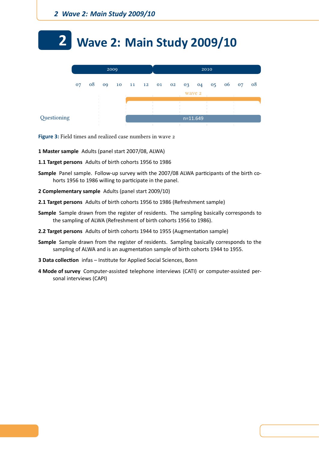# <span id="page-6-0"></span>**2 Wave 2: Main Study 2009/10**

|             |    |    |    | 2009 |  | 2010   |                   |            |    |                |       |  |    |  |  |  |
|-------------|----|----|----|------|--|--------|-------------------|------------|----|----------------|-------|--|----|--|--|--|
|             | 07 | 08 | 09 |      |  |        | 10 11 12 01 02 03 |            | 04 | 0 <sub>5</sub> | 06 07 |  | 08 |  |  |  |
|             |    |    |    |      |  | wave 2 |                   |            |    |                |       |  |    |  |  |  |
|             |    |    |    |      |  |        |                   |            |    |                |       |  |    |  |  |  |
|             |    |    |    |      |  |        |                   |            |    |                |       |  |    |  |  |  |
| Questioning |    |    |    |      |  |        |                   | $n=11.649$ |    |                |       |  |    |  |  |  |
|             |    |    |    |      |  |        |                   |            |    |                |       |  |    |  |  |  |

<span id="page-6-1"></span>**Figure 3:** Field times and realized case numbers in wave 2

- **1 Master sample** Adults (panel start 2007/08, ALWA)
- **1.1 Target persons** Adults of birth cohorts 1956 to 1986
- Sample Panel sample. Follow-up survey with the 2007/08 ALWA participants of the birth cohorts 1956 to 1986 willing to participate in the panel.
- **2 Complementary sample** Adults (panel start 2009/10)
- **2.1 Target persons** Adults of birth cohorts 1956 to 1986 (Refreshment sample)
- **Sample** Sample drawn from the register of residents. The sampling basically corresponds to the sampling of ALWA (Refreshment of birth cohorts 1956 to 1986).
- **2.2 Target persons** Adults of birth cohorts 1944 to 1955 (Augmentation sample)
- **Sample** Sample drawn from the register of residents. Sampling basically corresponds to the sampling of ALWA and is an augmentation sample of birth cohorts 1944 to 1955.
- **3 Data collection** infas Institute for Applied Social Sciences, Bonn
- **4 Mode of survey** Computer-assisted telephone interviews (CATI) or computer-assisted personal interviews (CAPI)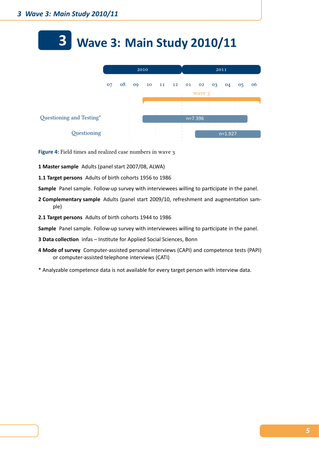# <span id="page-7-0"></span>**3 Wave 3: Main Study 2010/11**

|                          |    |    | 2010 |                   | 2011 |           |        |    |           |                |    |  |
|--------------------------|----|----|------|-------------------|------|-----------|--------|----|-----------|----------------|----|--|
|                          | 07 | 08 |      | 09 10 11 12 01 02 |      |           |        | 03 | 04        | 0 <sub>5</sub> | 06 |  |
|                          |    |    |      |                   |      |           | wave 3 |    |           |                |    |  |
|                          |    |    |      |                   |      |           |        |    |           |                |    |  |
| Questioning and Testing* |    |    |      |                   |      | $n=7.396$ |        |    |           |                |    |  |
| Questioning              |    |    |      |                   |      |           |        |    | $n=1.927$ |                |    |  |

<span id="page-7-1"></span>**Figure 4:** Field times and realized case numbers in wave 3

- **1 Master sample** Adults (panel start 2007/08, ALWA)
- **1.1 Target persons** Adults of birth cohorts 1956 to 1986

Sample Panel sample. Follow-up survey with interviewees willing to participate in the panel.

- **2 Complementary sample** Adults (panel start 2009/10, refreshment and augmentation sample)
- **2.1 Target persons** Adults of birth cohorts 1944 to 1986

- **3 Data collection** infas Institute for Applied Social Sciences, Bonn
- **4 Mode of survey** Computer-assisted personal interviews (CAPI) and competence tests (PAPI) or computer-assisted telephone interviews (CATI)
- \* Analyzable competence data is not available for every target person with interview data.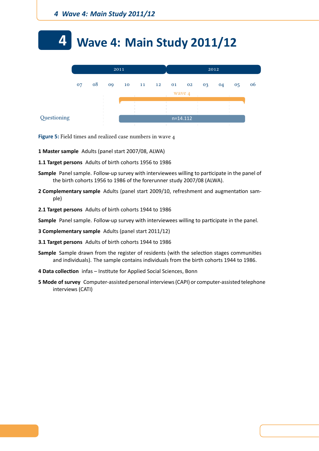# <span id="page-8-0"></span>**4 Wave 4: Main Study 2011/12**

|             |    |    |    | 2011 |  | 2012     |  |            |    |    |    |    |  |
|-------------|----|----|----|------|--|----------|--|------------|----|----|----|----|--|
|             | 07 | 08 | 09 | 10   |  | 11 12 01 |  | 02         | 03 | 04 | 05 | 06 |  |
|             |    |    |    |      |  |          |  | wave 4     |    |    |    |    |  |
|             |    |    |    |      |  |          |  |            |    |    |    |    |  |
|             |    |    |    |      |  |          |  |            |    |    |    |    |  |
| Questioning |    |    |    |      |  |          |  | $n=14.112$ |    |    |    |    |  |

<span id="page-8-1"></span>**Figure 5:** Field times and realized case numbers in wave 4

- **1 Master sample** Adults (panel start 2007/08, ALWA)
- **1.1 Target persons** Adults of birth cohorts 1956 to 1986
- Sample Panel sample. Follow-up survey with interviewees willing to participate in the panel of the birth cohorts 1956 to 1986 of the forerunner study 2007/08 (ALWA).
- **2 Complementary sample** Adults (panel start 2009/10, refreshment and augmentation sample)
- **2.1 Target persons** Adults of birth cohorts 1944 to 1986

- **3 Complementary sample** Adults (panel start 2011/12)
- **3.1 Target persons** Adults of birth cohorts 1944 to 1986
- **Sample** Sample drawn from the register of residents (with the selection stages communities and individuals). The sample contains individuals from the birth cohorts 1944 to 1986.
- 4 Data collection infas Institute for Applied Social Sciences, Bonn
- **5 Mode of survey** Computer-assisted personal interviews (CAPI) or computer-assisted telephone interviews (CATI)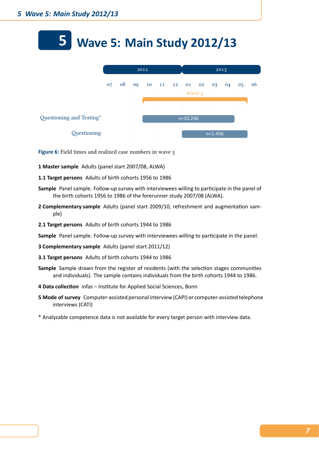#### <span id="page-9-0"></span>**5 Wave 5: Main Study 2012/13**

|                          | 2012 |    |    |  |  |                   |            |  |           |    |    |    |
|--------------------------|------|----|----|--|--|-------------------|------------|--|-----------|----|----|----|
|                          | 07   | 08 | 09 |  |  | 10 11 12 01 02 03 |            |  |           | 04 | 05 | 06 |
|                          |      |    |    |  |  |                   | wave 5     |  |           |    |    |    |
|                          |      |    |    |  |  |                   |            |  |           |    |    |    |
| Questioning and Testing* |      |    |    |  |  |                   | $n=10.240$ |  |           |    |    |    |
|                          |      |    |    |  |  |                   |            |  |           |    |    |    |
| Questioning              |      |    |    |  |  |                   |            |  | $n=1.456$ |    |    |    |

<span id="page-9-1"></span>**Figure 6:** Field times and realized case numbers in wave 5

- **1 Master sample** Adults (panel start 2007/08, ALWA)
- **1.1 Target persons** Adults of birth cohorts 1956 to 1986
- **Sample** Panel sample. Follow-up survey with interviewees willing to participate in the panel of the birth cohorts 1956 to 1986 of the forerunner study 2007/08 (ALWA).
- 2 Complementary sample Adults (panel start 2009/10, refreshment and augmentation sample)
- **2.1 Target persons** Adults of birth cohorts 1944 to 1986

- **3 Complementary sample** Adults (panel start 2011/12)
- **3.1 Target persons** Adults of birth cohorts 1944 to 1986
- **Sample** Sample drawn from the register of residents (with the selection stages communities and individuals). The sample contains individuals from the birth cohorts 1944 to 1986.
- 4 Data collection infas Institute for Applied Social Sciences, Bonn
- **5 Mode of survey** Computer-assisted personal interview (CAPI) or computer-assisted telephone interviews (CATI)
- \* Analyzable competence data is not available for every target person with interview data.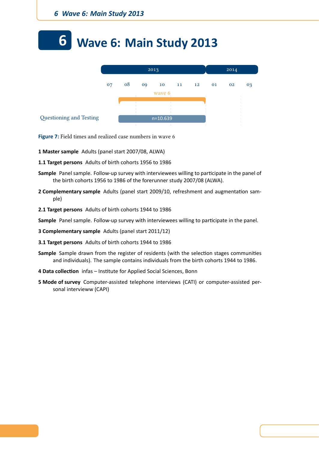# <span id="page-10-0"></span>**6 Wave 6: Main Study 2013**



<span id="page-10-1"></span>**Figure 7:** Field times and realized case numbers in wave 6

**1 Master sample** Adults (panel start 2007/08, ALWA)

- **1.1 Target persons** Adults of birth cohorts 1956 to 1986
- Sample Panel sample. Follow-up survey with interviewees willing to participate in the panel of the birth cohorts 1956 to 1986 of the forerunner study 2007/08 (ALWA).
- **2 Complementary sample** Adults (panel start 2009/10, refreshment and augmentation sample)
- **2.1 Target persons** Adults of birth cohorts 1944 to 1986

- **3 Complementary sample** Adults (panel start 2011/12)
- **3.1 Target persons** Adults of birth cohorts 1944 to 1986
- Sample Sample drawn from the register of residents (with the selection stages communities and individuals). The sample contains individuals from the birth cohorts 1944 to 1986.
- 4 Data collection infas Institute for Applied Social Sciences, Bonn
- **5 Mode of survey** Computer-assisted telephone interviews (CATI) or computer-assisted personal intervieww (CAPI)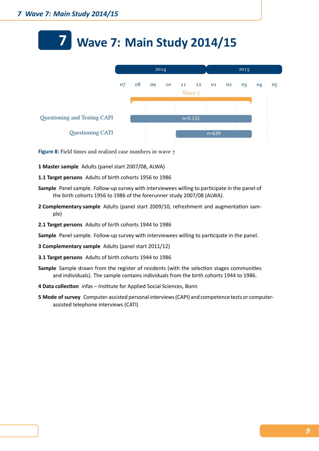### <span id="page-11-0"></span>**7 Wave 7: Main Study 2014/15**

|                              |    |    | 2014 |    |  |           |           |    |    |    |                |
|------------------------------|----|----|------|----|--|-----------|-----------|----|----|----|----------------|
|                              | 07 | 08 | 09   | 10 |  | 11 12     | 01        | 02 | 03 | 04 | 0 <sub>5</sub> |
|                              |    |    |      |    |  | Wave 7    |           |    |    |    |                |
|                              |    |    |      |    |  |           |           |    |    |    |                |
| Questioning and Testing CAPI |    |    |      |    |  | $n=9.131$ |           |    |    |    |                |
| Questioning CATI             |    |    |      |    |  |           | $n = 639$ |    |    |    |                |

**Figure 8:** Field times and realized case numbers in wave 7

- **1 Master sample** Adults (panel start 2007/08, ALWA)
- **1.1 Target persons** Adults of birth cohorts 1956 to 1986
- **Sample** Panel sample. Follow-up survey with interviewees willing to participate in the panel of the birth cohorts 1956 to 1986 of the forerunner study 2007/08 (ALWA).
- 2 Complementary sample Adults (panel start 2009/10, refreshment and augmentation sample)
- **2.1 Target persons** Adults of birth cohorts 1944 to 1986
- **Sample** Panel sample. Follow-up survey with interviewees willing to participate in the panel.
- **3 Complementary sample** Adults (panel start 2011/12)
- **3.1 Target persons** Adults of birth cohorts 1944 to 1986
- **Sample** Sample drawn from the register of residents (with the selection stages communities and individuals). The sample contains individuals from the birth cohorts 1944 to 1986.
- 4 Data collection infas Institute for Applied Social Sciences, Bonn
- **5 Mode of survey** Computer-assisted personal interviews (CAPI) and competence tests or computerassisted telephone interviews (CATI)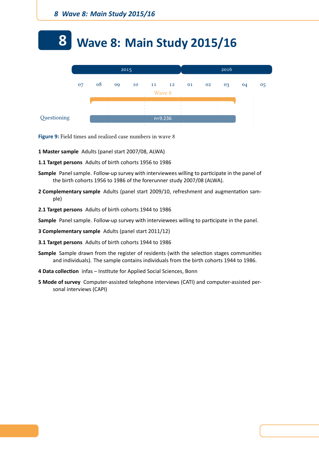#### **8 Wave 8: Main Study 2015/16**



**Figure 9:** Field times and realized case numbers in wave 8

- **1 Master sample** Adults (panel start 2007/08, ALWA)
- **1.1 Target persons** Adults of birth cohorts 1956 to 1986
- Sample Panel sample. Follow-up survey with interviewees willing to participate in the panel of the birth cohorts 1956 to 1986 of the forerunner study 2007/08 (ALWA).
- **2 Complementary sample** Adults (panel start 2009/10, refreshment and augmentation sample)
- **2.1 Target persons** Adults of birth cohorts 1944 to 1986

- **3 Complementary sample** Adults (panel start 2011/12)
- **3.1 Target persons** Adults of birth cohorts 1944 to 1986
- **Sample** Sample drawn from the register of residents (with the selection stages communities and individuals). The sample contains individuals from the birth cohorts 1944 to 1986.
- 4 Data collection infas Institute for Applied Social Sciences, Bonn
- **5 Mode of survey** Computer-assisted telephone interviews (CATI) and computer-assisted personal interviews (CAPI)